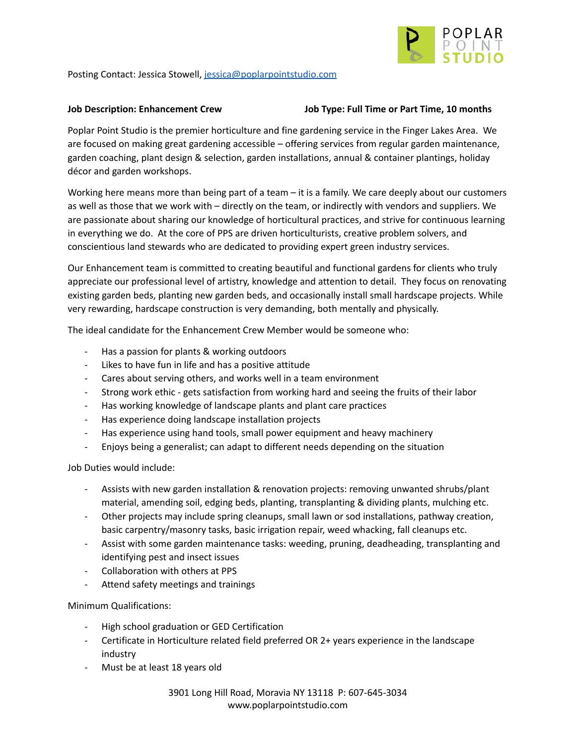

Posting Contact: Jessica Stowell, [jessica@poplarpointstudio.com](mailto:jessica@poplarpointstudio.com)

### **Job Description: Enhancement Crew Job Type: Full Time or Part Time, 10 months**

Poplar Point Studio is the premier horticulture and fine gardening service in the Finger Lakes Area. We are focused on making great gardening accessible – offering services from regular garden maintenance, garden coaching, plant design & selection, garden installations, annual & container plantings, holiday décor and garden workshops.

Working here means more than being part of a team – it is a family. We care deeply about our customers as well as those that we work with – directly on the team, or indirectly with vendors and suppliers. We are passionate about sharing our knowledge of horticultural practices, and strive for continuous learning in everything we do. At the core of PPS are driven horticulturists, creative problem solvers, and conscientious land stewards who are dedicated to providing expert green industry services.

Our Enhancement team is committed to creating beautiful and functional gardens for clients who truly appreciate our professional level of artistry, knowledge and attention to detail. They focus on renovating existing garden beds, planting new garden beds, and occasionally install small hardscape projects. While very rewarding, hardscape construction is very demanding, both mentally and physically.

The ideal candidate for the Enhancement Crew Member would be someone who:

- Has a passion for plants & working outdoors
- Likes to have fun in life and has a positive attitude
- Cares about serving others, and works well in a team environment
- Strong work ethic gets satisfaction from working hard and seeing the fruits of their labor
- Has working knowledge of landscape plants and plant care practices
- Has experience doing landscape installation projects
- Has experience using hand tools, small power equipment and heavy machinery
- Enjoys being a generalist; can adapt to different needs depending on the situation

Job Duties would include:

- Assists with new garden installation & renovation projects: removing unwanted shrubs/plant material, amending soil, edging beds, planting, transplanting & dividing plants, mulching etc.
- Other projects may include spring cleanups, small lawn or sod installations, pathway creation, basic carpentry/masonry tasks, basic irrigation repair, weed whacking, fall cleanups etc.
- Assist with some garden maintenance tasks: weeding, pruning, deadheading, transplanting and identifying pest and insect issues
- Collaboration with others at PPS
- Attend safety meetings and trainings

Minimum Qualifications:

- High school graduation or GED Certification
- Certificate in Horticulture related field preferred OR 2+ years experience in the landscape industry
- Must be at least 18 years old